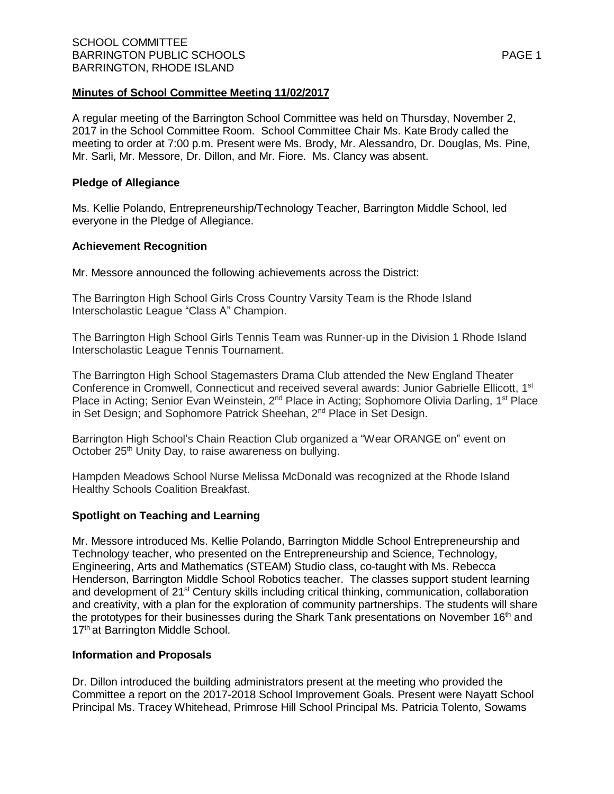A regular meeting of the Barrington School Committee was held on Thursday, November 2, 2017 in the School Committee Room. School Committee Chair Ms. Kate Brody called the meeting to order at 7:00 p.m. Present were Ms. Brody, Mr. Alessandro, Dr. Douglas, Ms. Pine, Mr. Sarli, Mr. Messore, Dr. Dillon, and Mr. Fiore. Ms. Clancy was absent.

# **Pledge of Allegiance**

Ms. Kellie Polando, Entrepreneurship/Technology Teacher, Barrington Middle School, led everyone in the Pledge of Allegiance.

# **Achievement Recognition**

Mr. Messore announced the following achievements across the District:

The Barrington High School Girls Cross Country Varsity Team is the Rhode Island Interscholastic League "Class A" Champion.

The Barrington High School Girls Tennis Team was Runner-up in the Division 1 Rhode Island Interscholastic League Tennis Tournament.

The Barrington High School Stagemasters Drama Club attended the New England Theater Conference in Cromwell, Connecticut and received several awards: Junior Gabrielle Ellicott, 1<sup>st</sup> Place in Acting; Senior Evan Weinstein, 2<sup>nd</sup> Place in Acting; Sophomore Olivia Darling, 1<sup>st</sup> Place in Set Design; and Sophomore Patrick Sheehan, 2<sup>nd</sup> Place in Set Design.

Barrington High School's Chain Reaction Club organized a "Wear ORANGE on" event on October 25<sup>th</sup> Unity Day, to raise awareness on bullying.

Hampden Meadows School Nurse Melissa McDonald was recognized at the Rhode Island Healthy Schools Coalition Breakfast.

# **Spotlight on Teaching and Learning**

Mr. Messore introduced Ms. Kellie Polando, Barrington Middle School Entrepreneurship and Technology teacher, who presented on the Entrepreneurship and Science, Technology, Engineering, Arts and Mathematics (STEAM) Studio class, co-taught with Ms. Rebecca Henderson, Barrington Middle School Robotics teacher. The classes support student learning and development of 21<sup>st</sup> Century skills including critical thinking, communication, collaboration and creativity, with a plan for the exploration of community partnerships. The students will share the prototypes for their businesses during the Shark Tank presentations on November 16<sup>th</sup> and 17<sup>th</sup> at Barrington Middle School.

### **Information and Proposals**

Dr. Dillon introduced the building administrators present at the meeting who provided the Committee a report on the 2017-2018 School Improvement Goals. Present were Nayatt School Principal Ms. Tracey Whitehead, Primrose Hill School Principal Ms. Patricia Tolento, Sowams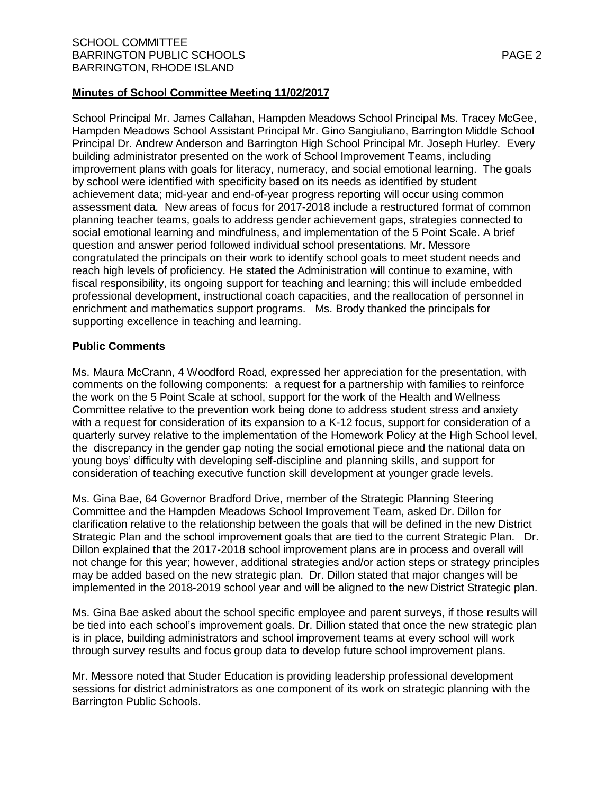School Principal Mr. James Callahan, Hampden Meadows School Principal Ms. Tracey McGee, Hampden Meadows School Assistant Principal Mr. Gino Sangiuliano, Barrington Middle School Principal Dr. Andrew Anderson and Barrington High School Principal Mr. Joseph Hurley. Every building administrator presented on the work of School Improvement Teams, including improvement plans with goals for literacy, numeracy, and social emotional learning. The goals by school were identified with specificity based on its needs as identified by student achievement data; mid-year and end-of-year progress reporting will occur using common assessment data. New areas of focus for 2017-2018 include a restructured format of common planning teacher teams, goals to address gender achievement gaps, strategies connected to social emotional learning and mindfulness, and implementation of the 5 Point Scale. A brief question and answer period followed individual school presentations. Mr. Messore congratulated the principals on their work to identify school goals to meet student needs and reach high levels of proficiency. He stated the Administration will continue to examine, with fiscal responsibility, its ongoing support for teaching and learning; this will include embedded professional development, instructional coach capacities, and the reallocation of personnel in enrichment and mathematics support programs. Ms. Brody thanked the principals for supporting excellence in teaching and learning.

# **Public Comments**

Ms. Maura McCrann, 4 Woodford Road, expressed her appreciation for the presentation, with comments on the following components: a request for a partnership with families to reinforce the work on the 5 Point Scale at school, support for the work of the Health and Wellness Committee relative to the prevention work being done to address student stress and anxiety with a request for consideration of its expansion to a K-12 focus, support for consideration of a quarterly survey relative to the implementation of the Homework Policy at the High School level, the discrepancy in the gender gap noting the social emotional piece and the national data on young boys' difficulty with developing self-discipline and planning skills, and support for consideration of teaching executive function skill development at younger grade levels.

Ms. Gina Bae, 64 Governor Bradford Drive, member of the Strategic Planning Steering Committee and the Hampden Meadows School Improvement Team, asked Dr. Dillon for clarification relative to the relationship between the goals that will be defined in the new District Strategic Plan and the school improvement goals that are tied to the current Strategic Plan. Dr. Dillon explained that the 2017-2018 school improvement plans are in process and overall will not change for this year; however, additional strategies and/or action steps or strategy principles may be added based on the new strategic plan. Dr. Dillon stated that major changes will be implemented in the 2018-2019 school year and will be aligned to the new District Strategic plan.

Ms. Gina Bae asked about the school specific employee and parent surveys, if those results will be tied into each school's improvement goals. Dr. Dillion stated that once the new strategic plan is in place, building administrators and school improvement teams at every school will work through survey results and focus group data to develop future school improvement plans.

Mr. Messore noted that Studer Education is providing leadership professional development sessions for district administrators as one component of its work on strategic planning with the Barrington Public Schools.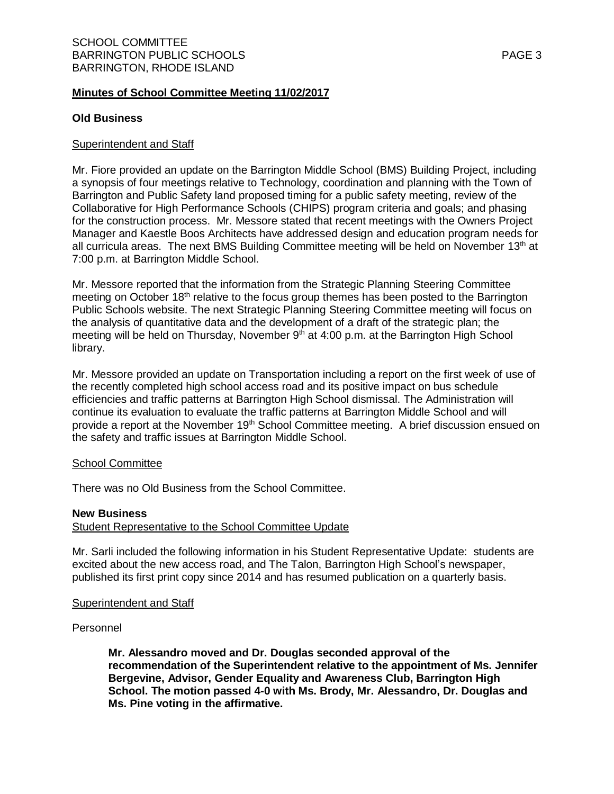# **Old Business**

## Superintendent and Staff

Mr. Fiore provided an update on the Barrington Middle School (BMS) Building Project, including a synopsis of four meetings relative to Technology, coordination and planning with the Town of Barrington and Public Safety land proposed timing for a public safety meeting, review of the Collaborative for High Performance Schools (CHIPS) program criteria and goals; and phasing for the construction process. Mr. Messore stated that recent meetings with the Owners Project Manager and Kaestle Boos Architects have addressed design and education program needs for all curricula areas. The next BMS Building Committee meeting will be held on November  $13<sup>th</sup>$  at 7:00 p.m. at Barrington Middle School.

Mr. Messore reported that the information from the Strategic Planning Steering Committee meeting on October 18<sup>th</sup> relative to the focus group themes has been posted to the Barrington Public Schools website. The next Strategic Planning Steering Committee meeting will focus on the analysis of quantitative data and the development of a draft of the strategic plan; the meeting will be held on Thursday, November 9<sup>th</sup> at 4:00 p.m. at the Barrington High School library.

Mr. Messore provided an update on Transportation including a report on the first week of use of the recently completed high school access road and its positive impact on bus schedule efficiencies and traffic patterns at Barrington High School dismissal. The Administration will continue its evaluation to evaluate the traffic patterns at Barrington Middle School and will provide a report at the November 19<sup>th</sup> School Committee meeting. A brief discussion ensued on the safety and traffic issues at Barrington Middle School.

### School Committee

There was no Old Business from the School Committee.

### **New Business**

Student Representative to the School Committee Update

Mr. Sarli included the following information in his Student Representative Update: students are excited about the new access road, and The Talon, Barrington High School's newspaper, published its first print copy since 2014 and has resumed publication on a quarterly basis.

### Superintendent and Staff

### Personnel

**Mr. Alessandro moved and Dr. Douglas seconded approval of the recommendation of the Superintendent relative to the appointment of Ms. Jennifer Bergevine, Advisor, Gender Equality and Awareness Club, Barrington High School. The motion passed 4-0 with Ms. Brody, Mr. Alessandro, Dr. Douglas and Ms. Pine voting in the affirmative.**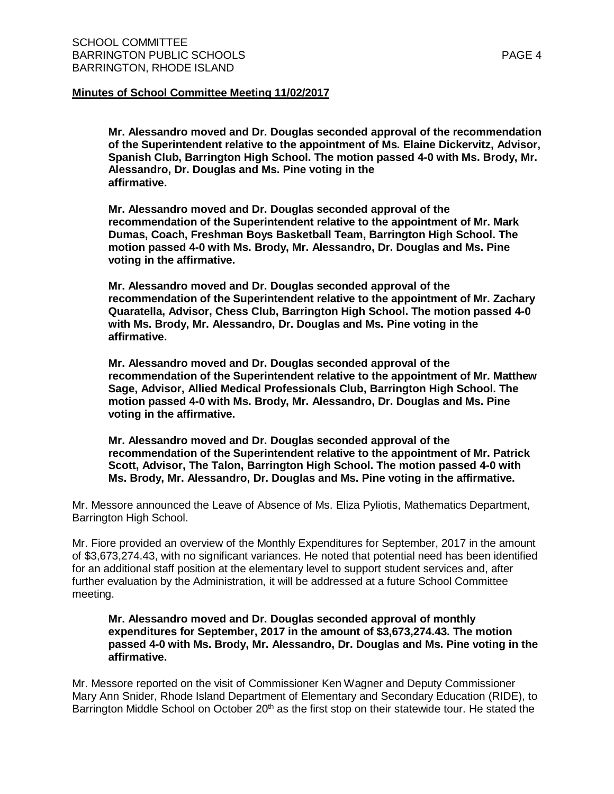**Mr. Alessandro moved and Dr. Douglas seconded approval of the recommendation of the Superintendent relative to the appointment of Ms. Elaine Dickervitz, Advisor, Spanish Club, Barrington High School. The motion passed 4-0 with Ms. Brody, Mr. Alessandro, Dr. Douglas and Ms. Pine voting in the affirmative.**

**Mr. Alessandro moved and Dr. Douglas seconded approval of the recommendation of the Superintendent relative to the appointment of Mr. Mark Dumas, Coach, Freshman Boys Basketball Team, Barrington High School. The motion passed 4-0 with Ms. Brody, Mr. Alessandro, Dr. Douglas and Ms. Pine voting in the affirmative.**

**Mr. Alessandro moved and Dr. Douglas seconded approval of the recommendation of the Superintendent relative to the appointment of Mr. Zachary Quaratella, Advisor, Chess Club, Barrington High School. The motion passed 4-0 with Ms. Brody, Mr. Alessandro, Dr. Douglas and Ms. Pine voting in the affirmative.**

**Mr. Alessandro moved and Dr. Douglas seconded approval of the recommendation of the Superintendent relative to the appointment of Mr. Matthew Sage, Advisor, Allied Medical Professionals Club, Barrington High School. The motion passed 4-0 with Ms. Brody, Mr. Alessandro, Dr. Douglas and Ms. Pine voting in the affirmative.**

**Mr. Alessandro moved and Dr. Douglas seconded approval of the recommendation of the Superintendent relative to the appointment of Mr. Patrick Scott, Advisor, The Talon, Barrington High School. The motion passed 4-0 with Ms. Brody, Mr. Alessandro, Dr. Douglas and Ms. Pine voting in the affirmative.**

Mr. Messore announced the Leave of Absence of Ms. Eliza Pyliotis, Mathematics Department, Barrington High School.

Mr. Fiore provided an overview of the Monthly Expenditures for September, 2017 in the amount of \$3,673,274.43, with no significant variances. He noted that potential need has been identified for an additional staff position at the elementary level to support student services and, after further evaluation by the Administration, it will be addressed at a future School Committee meeting.

**Mr. Alessandro moved and Dr. Douglas seconded approval of monthly expenditures for September, 2017 in the amount of \$3,673,274.43. The motion passed 4-0 with Ms. Brody, Mr. Alessandro, Dr. Douglas and Ms. Pine voting in the affirmative.**

Mr. Messore reported on the visit of Commissioner Ken Wagner and Deputy Commissioner Mary Ann Snider, Rhode Island Department of Elementary and Secondary Education (RIDE), to Barrington Middle School on October 20<sup>th</sup> as the first stop on their statewide tour. He stated the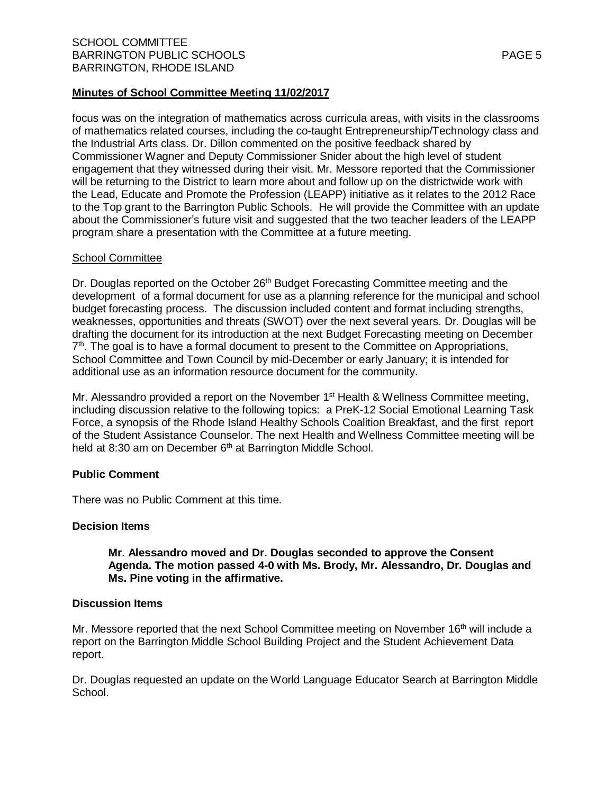focus was on the integration of mathematics across curricula areas, with visits in the classrooms of mathematics related courses, including the co-taught Entrepreneurship/Technology class and the Industrial Arts class. Dr. Dillon commented on the positive feedback shared by Commissioner Wagner and Deputy Commissioner Snider about the high level of student engagement that they witnessed during their visit. Mr. Messore reported that the Commissioner will be returning to the District to learn more about and follow up on the districtwide work with the Lead, Educate and Promote the Profession (LEAPP) initiative as it relates to the 2012 Race to the Top grant to the Barrington Public Schools. He will provide the Committee with an update about the Commissioner's future visit and suggested that the two teacher leaders of the LEAPP program share a presentation with the Committee at a future meeting.

### School Committee

Dr. Douglas reported on the October 26<sup>th</sup> Budget Forecasting Committee meeting and the development of a formal document for use as a planning reference for the municipal and school budget forecasting process. The discussion included content and format including strengths, weaknesses, opportunities and threats (SWOT) over the next several years. Dr. Douglas will be drafting the document for its introduction at the next Budget Forecasting meeting on December 7<sup>th</sup>. The goal is to have a formal document to present to the Committee on Appropriations, School Committee and Town Council by mid-December or early January; it is intended for additional use as an information resource document for the community.

Mr. Alessandro provided a report on the November 1<sup>st</sup> Health & Wellness Committee meeting, including discussion relative to the following topics: a PreK-12 Social Emotional Learning Task Force, a synopsis of the Rhode Island Healthy Schools Coalition Breakfast, and the first report of the Student Assistance Counselor. The next Health and Wellness Committee meeting will be held at 8:30 am on December 6<sup>th</sup> at Barrington Middle School.

# **Public Comment**

There was no Public Comment at this time.

### **Decision Items**

# **Mr. Alessandro moved and Dr. Douglas seconded to approve the Consent Agenda. The motion passed 4-0 with Ms. Brody, Mr. Alessandro, Dr. Douglas and Ms. Pine voting in the affirmative.**

### **Discussion Items**

Mr. Messore reported that the next School Committee meeting on November 16<sup>th</sup> will include a report on the Barrington Middle School Building Project and the Student Achievement Data report.

Dr. Douglas requested an update on the World Language Educator Search at Barrington Middle School.